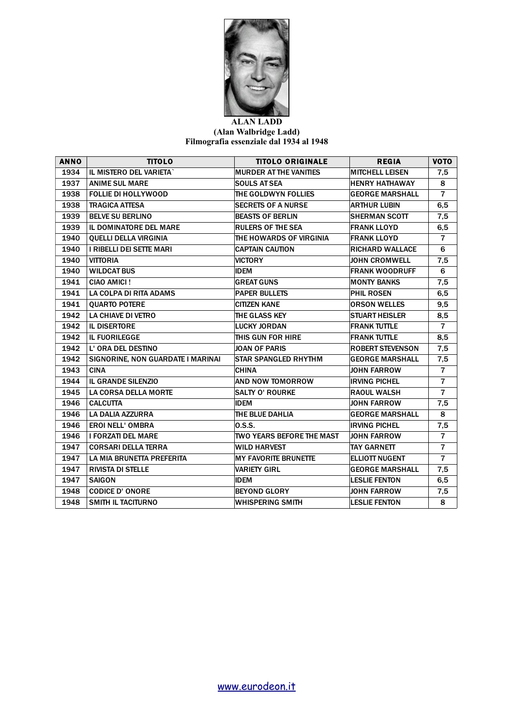

## **ALAN LADD (Alan Walbridge Ladd) Filmografia essenziale dal 1934 al 1948**

| <b>ANNO</b> | <b>TITOLO</b>                     | <b>TITOLO ORIGINALE</b>          | <b>REGIA</b>            | <b>VOTO</b>    |
|-------------|-----------------------------------|----------------------------------|-------------------------|----------------|
| 1934        | IL MISTERO DEL VARIETA`           | <b>MURDER AT THE VANITIES</b>    | <b>MITCHELL LEISEN</b>  | 7,5            |
| 1937        | <b>ANIME SUL MARE</b>             | <b>SOULS AT SEA</b>              | <b>HENRY HATHAWAY</b>   | 8              |
| 1938        | <b>FOLLIE DI HOLLYWOOD</b>        | <b>THE GOLDWYN FOLLIES</b>       | <b>GEORGE MARSHALL</b>  | $\overline{7}$ |
| 1938        | <b>TRAGICA ATTESA</b>             | <b>SECRETS OF A NURSE</b>        | <b>ARTHUR LUBIN</b>     | 6,5            |
| 1939        | <b>BELVE SU BERLINO</b>           | <b>BEASTS OF BERLIN</b>          | <b>SHERMAN SCOTT</b>    | 7,5            |
| 1939        | <b>IL DOMINATORE DEL MARE</b>     | <b>RULERS OF THE SEA</b>         | <b>FRANK LLOYD</b>      | 6,5            |
| 1940        | <b>QUELLI DELLA VIRGINIA</b>      | THE HOWARDS OF VIRGINIA          | <b>FRANK LLOYD</b>      | $\overline{7}$ |
| 1940        | I RIBELLI DEI SETTE MARI          | <b>CAPTAIN CAUTION</b>           | <b>RICHARD WALLACE</b>  | 6              |
| 1940        | <b>VITTORIA</b>                   | <b>VICTORY</b>                   | <b>JOHN CROMWELL</b>    | 7,5            |
| 1940        | <b>WILDCAT BUS</b>                | <b>IDEM</b>                      | <b>FRANK WOODRUFF</b>   | 6              |
| 1941        | CIAO AMICI!                       | <b>GREAT GUNS</b>                | <b>MONTY BANKS</b>      | 7,5            |
| 1941        | LA COLPA DI RITA ADAMS            | <b>PAPER BULLETS</b>             | PHIL ROSEN              | 6,5            |
| 1941        | <b>QUARTO POTERE</b>              | <b>CITIZEN KANE</b>              | <b>ORSON WELLES</b>     | 9,5            |
| 1942        | LA CHIAVE DI VETRO                | THE GLASS KEY                    | <b>STUART HEISLER</b>   | 8,5            |
| 1942        | <b>IL DISERTORE</b>               | <b>LUCKY JORDAN</b>              | <b>FRANK TUTTLE</b>     | $\overline{7}$ |
| 1942        | <b>IL FUORILEGGE</b>              | THIS GUN FOR HIRE                | <b>FRANK TUTTLE</b>     | 8,5            |
| 1942        | L' ORA DEL DESTINO                | JOAN OF PARIS                    | <b>ROBERT STEVENSON</b> | 7,5            |
| 1942        | SIGNORINE, NON GUARDATE I MARINAI | <b>STAR SPANGLED RHYTHM</b>      | <b>GEORGE MARSHALL</b>  | 7,5            |
| 1943        | <b>CINA</b>                       | <b>CHINA</b>                     | <b>JOHN FARROW</b>      | $\overline{7}$ |
| 1944        | <b>IL GRANDE SILENZIO</b>         | <b>AND NOW TOMORROW</b>          | <b>IRVING PICHEL</b>    | $\overline{7}$ |
| 1945        | <b>LA CORSA DELLA MORTE</b>       | <b>SALTY O' ROURKE</b>           | <b>RAOUL WALSH</b>      | $\overline{7}$ |
| 1946        | <b>CALCUTTA</b>                   | <b>IDEM</b>                      | <b>JOHN FARROW</b>      | 7,5            |
| 1946        | LA DALIA AZZURRA                  | THE BLUE DAHLIA                  | <b>GEORGE MARSHALL</b>  | 8              |
| 1946        | <b>EROI NELL' OMBRA</b>           | 0.5.5.                           | <b>IRVING PICHEL</b>    | 7,5            |
| 1946        | <b>I FORZATI DEL MARE</b>         | <b>TWO YEARS BEFORE THE MAST</b> | <b>JOHN FARROW</b>      | $\overline{7}$ |
| 1947        | <b>CORSARI DELLA TERRA</b>        | <b>WILD HARVEST</b>              | <b>TAY GARNETT</b>      | $\overline{7}$ |
| 1947        | LA MIA BRUNETTA PREFERITA         | <b>MY FAVORITE BRUNETTE</b>      | <b>ELLIOTT NUGENT</b>   | $\overline{7}$ |
| 1947        | <b>RIVISTA DI STELLE</b>          | <b>VARIETY GIRL</b>              | <b>GEORGE MARSHALL</b>  | 7,5            |
| 1947        | <b>SAIGON</b>                     | <b>IDEM</b>                      | <b>LESLIE FENTON</b>    | 6,5            |
| 1948        | <b>CODICE D' ONORE</b>            | <b>BEYOND GLORY</b>              | <b>JOHN FARROW</b>      | 7,5            |
| 1948        | <b>SMITH IL TACITURNO</b>         | <b>WHISPERING SMITH</b>          | <b>LESLIE FENTON</b>    | 8              |